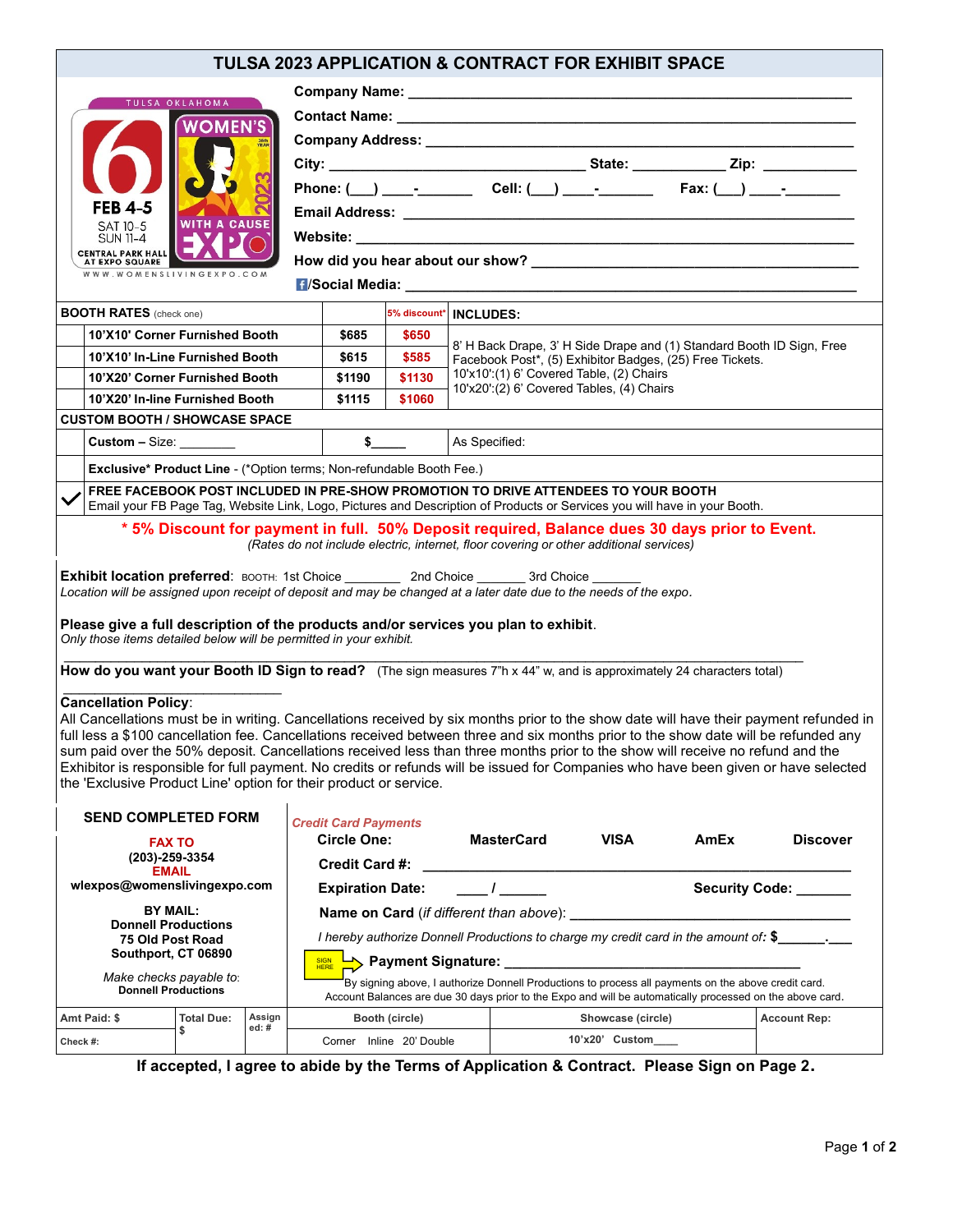## **TULSA 2023 APPLICATION & CONTRACT FOR EXHIBIT SPACE**

| <b>TULSA OKLAHOMA</b>                                                                                                                                                                                                                                                                                                                                                                                                                                                                                                                                                                                                                                   |                                                                                                                                                                                                                 |        |                                                                                                                                                                                                                  |                             |                          |               |                                                                                                                                   |             |                    |                                                                                              |                     |
|---------------------------------------------------------------------------------------------------------------------------------------------------------------------------------------------------------------------------------------------------------------------------------------------------------------------------------------------------------------------------------------------------------------------------------------------------------------------------------------------------------------------------------------------------------------------------------------------------------------------------------------------------------|-----------------------------------------------------------------------------------------------------------------------------------------------------------------------------------------------------------------|--------|------------------------------------------------------------------------------------------------------------------------------------------------------------------------------------------------------------------|-----------------------------|--------------------------|---------------|-----------------------------------------------------------------------------------------------------------------------------------|-------------|--------------------|----------------------------------------------------------------------------------------------|---------------------|
|                                                                                                                                                                                                                                                                                                                                                                                                                                                                                                                                                                                                                                                         |                                                                                                                                                                                                                 |        |                                                                                                                                                                                                                  |                             |                          |               |                                                                                                                                   |             |                    |                                                                                              |                     |
|                                                                                                                                                                                                                                                                                                                                                                                                                                                                                                                                                                                                                                                         |                                                                                                                                                                                                                 |        |                                                                                                                                                                                                                  |                             |                          |               |                                                                                                                                   |             |                    |                                                                                              |                     |
|                                                                                                                                                                                                                                                                                                                                                                                                                                                                                                                                                                                                                                                         |                                                                                                                                                                                                                 |        |                                                                                                                                                                                                                  |                             |                          |               |                                                                                                                                   |             |                    |                                                                                              |                     |
|                                                                                                                                                                                                                                                                                                                                                                                                                                                                                                                                                                                                                                                         | Phone: ( __) ____- ________ Cell: ( __) ____-_______ Fax: ( __) ____-______                                                                                                                                     |        |                                                                                                                                                                                                                  |                             |                          |               |                                                                                                                                   |             |                    |                                                                                              |                     |
| <b>FEB 4-5</b>                                                                                                                                                                                                                                                                                                                                                                                                                                                                                                                                                                                                                                          |                                                                                                                                                                                                                 |        |                                                                                                                                                                                                                  |                             |                          |               |                                                                                                                                   |             |                    |                                                                                              |                     |
| SAT 10-5<br><b>SUN 11-4</b>                                                                                                                                                                                                                                                                                                                                                                                                                                                                                                                                                                                                                             | <b>WITH A CAUSE</b>                                                                                                                                                                                             |        |                                                                                                                                                                                                                  |                             |                          |               |                                                                                                                                   |             |                    |                                                                                              |                     |
| <b>CENTRAL PARK HALL</b><br>AT EXPO SQUARE                                                                                                                                                                                                                                                                                                                                                                                                                                                                                                                                                                                                              |                                                                                                                                                                                                                 |        |                                                                                                                                                                                                                  |                             |                          |               |                                                                                                                                   |             |                    |                                                                                              |                     |
| WWW.WOMENSLIVINGEXPO.COM                                                                                                                                                                                                                                                                                                                                                                                                                                                                                                                                                                                                                                |                                                                                                                                                                                                                 |        |                                                                                                                                                                                                                  |                             |                          |               |                                                                                                                                   |             |                    |                                                                                              |                     |
|                                                                                                                                                                                                                                                                                                                                                                                                                                                                                                                                                                                                                                                         |                                                                                                                                                                                                                 |        |                                                                                                                                                                                                                  |                             |                          |               |                                                                                                                                   |             |                    |                                                                                              |                     |
| <b>BOOTH RATES</b> (check one)                                                                                                                                                                                                                                                                                                                                                                                                                                                                                                                                                                                                                          |                                                                                                                                                                                                                 |        |                                                                                                                                                                                                                  |                             | 5% discount*   INCLUDES: |               |                                                                                                                                   |             |                    |                                                                                              |                     |
| 10'X10' Corner Furnished Booth                                                                                                                                                                                                                                                                                                                                                                                                                                                                                                                                                                                                                          |                                                                                                                                                                                                                 |        |                                                                                                                                                                                                                  | \$685                       | \$650                    |               |                                                                                                                                   |             |                    |                                                                                              |                     |
|                                                                                                                                                                                                                                                                                                                                                                                                                                                                                                                                                                                                                                                         | 10'X10' In-Line Furnished Booth                                                                                                                                                                                 |        |                                                                                                                                                                                                                  | \$615                       | \$585                    |               | 8' H Back Drape, 3' H Side Drape and (1) Standard Booth ID Sign, Free<br>Facebook Post*, (5) Exhibitor Badges, (25) Free Tickets. |             |                    |                                                                                              |                     |
|                                                                                                                                                                                                                                                                                                                                                                                                                                                                                                                                                                                                                                                         | 10'X20' Corner Furnished Booth                                                                                                                                                                                  |        |                                                                                                                                                                                                                  | \$1190                      | \$1130                   |               | 10'x10':(1) 6' Covered Table, (2) Chairs<br>10'x20':(2) 6' Covered Tables, (4) Chairs                                             |             |                    |                                                                                              |                     |
| 10'X20' In-line Furnished Booth                                                                                                                                                                                                                                                                                                                                                                                                                                                                                                                                                                                                                         |                                                                                                                                                                                                                 |        |                                                                                                                                                                                                                  | \$1115                      | \$1060                   |               |                                                                                                                                   |             |                    |                                                                                              |                     |
| <b>CUSTOM BOOTH / SHOWCASE SPACE</b>                                                                                                                                                                                                                                                                                                                                                                                                                                                                                                                                                                                                                    |                                                                                                                                                                                                                 |        |                                                                                                                                                                                                                  |                             |                          |               |                                                                                                                                   |             |                    |                                                                                              |                     |
|                                                                                                                                                                                                                                                                                                                                                                                                                                                                                                                                                                                                                                                         | Custom - Size: $\_\_$                                                                                                                                                                                           |        |                                                                                                                                                                                                                  |                             | s                        | As Specified: |                                                                                                                                   |             |                    |                                                                                              |                     |
|                                                                                                                                                                                                                                                                                                                                                                                                                                                                                                                                                                                                                                                         | <b>Exclusive* Product Line - (*Option terms: Non-refundable Booth Fee.)</b>                                                                                                                                     |        |                                                                                                                                                                                                                  |                             |                          |               |                                                                                                                                   |             |                    |                                                                                              |                     |
|                                                                                                                                                                                                                                                                                                                                                                                                                                                                                                                                                                                                                                                         | FREE FACEBOOK POST INCLUDED IN PRE-SHOW PROMOTION TO DRIVE ATTENDEES TO YOUR BOOTH<br>Email your FB Page Tag, Website Link, Logo, Pictures and Description of Products or Services you will have in your Booth. |        |                                                                                                                                                                                                                  |                             |                          |               |                                                                                                                                   |             |                    |                                                                                              |                     |
|                                                                                                                                                                                                                                                                                                                                                                                                                                                                                                                                                                                                                                                         |                                                                                                                                                                                                                 |        |                                                                                                                                                                                                                  |                             |                          |               |                                                                                                                                   |             |                    | *5% Discount for payment in full. 50% Deposit required, Balance dues 30 days prior to Event. |                     |
| (Rates do not include electric, internet, floor covering or other additional services)<br>Exhibit location preferred: BOOTH: 1st Choice ____________ 2nd Choice __________ 3rd Choice ______<br>Location will be assigned upon receipt of deposit and may be changed at a later date due to the needs of the expo.<br>Please give a full description of the products and/or services you plan to exhibit.                                                                                                                                                                                                                                               |                                                                                                                                                                                                                 |        |                                                                                                                                                                                                                  |                             |                          |               |                                                                                                                                   |             |                    |                                                                                              |                     |
| Only those items detailed below will be permitted in your exhibit.                                                                                                                                                                                                                                                                                                                                                                                                                                                                                                                                                                                      |                                                                                                                                                                                                                 |        |                                                                                                                                                                                                                  |                             |                          |               |                                                                                                                                   |             |                    |                                                                                              |                     |
| How do you want your Booth ID Sign to read? (The sign measures 7"h x 44" w, and is approximately 24 characters total)                                                                                                                                                                                                                                                                                                                                                                                                                                                                                                                                   |                                                                                                                                                                                                                 |        |                                                                                                                                                                                                                  |                             |                          |               |                                                                                                                                   |             |                    |                                                                                              |                     |
|                                                                                                                                                                                                                                                                                                                                                                                                                                                                                                                                                                                                                                                         |                                                                                                                                                                                                                 |        |                                                                                                                                                                                                                  |                             |                          |               |                                                                                                                                   |             |                    |                                                                                              |                     |
| <b>Cancellation Policy:</b><br>All Cancellations must be in writing. Cancellations received by six months prior to the show date will have their payment refunded in<br>full less a \$100 cancellation fee. Cancellations received between three and six months prior to the show date will be refunded any<br>sum paid over the 50% deposit. Cancellations received less than three months prior to the show will receive no refund and the<br>Exhibitor is responsible for full payment. No credits or refunds will be issued for Companies who have been given or have selected<br>the 'Exclusive Product Line' option for their product or service. |                                                                                                                                                                                                                 |        |                                                                                                                                                                                                                  |                             |                          |               |                                                                                                                                   |             |                    |                                                                                              |                     |
| <b>SEND COMPLETED FORM</b>                                                                                                                                                                                                                                                                                                                                                                                                                                                                                                                                                                                                                              |                                                                                                                                                                                                                 |        |                                                                                                                                                                                                                  | <b>Credit Card Payments</b> |                          |               |                                                                                                                                   |             |                    |                                                                                              |                     |
| <b>FAX TO</b><br>(203)-259-3354<br><b>EMAIL</b><br>wlexpos@womenslivingexpo.com                                                                                                                                                                                                                                                                                                                                                                                                                                                                                                                                                                         |                                                                                                                                                                                                                 |        |                                                                                                                                                                                                                  | <b>Circle One:</b>          |                          |               | <b>MasterCard</b>                                                                                                                 | <b>VISA</b> |                    | AmEx                                                                                         | <b>Discover</b>     |
|                                                                                                                                                                                                                                                                                                                                                                                                                                                                                                                                                                                                                                                         |                                                                                                                                                                                                                 |        |                                                                                                                                                                                                                  | <b>Credit Card #:</b>       |                          |               |                                                                                                                                   |             |                    |                                                                                              |                     |
|                                                                                                                                                                                                                                                                                                                                                                                                                                                                                                                                                                                                                                                         |                                                                                                                                                                                                                 |        | $\overline{I}$<br>Security Code: ______<br><b>Expiration Date:</b>                                                                                                                                               |                             |                          |               |                                                                                                                                   |             |                    |                                                                                              |                     |
| <b>BY MAIL:</b>                                                                                                                                                                                                                                                                                                                                                                                                                                                                                                                                                                                                                                         |                                                                                                                                                                                                                 |        |                                                                                                                                                                                                                  |                             |                          |               |                                                                                                                                   |             |                    |                                                                                              |                     |
| <b>Donnell Productions</b><br>75 Old Post Road<br>Southport, CT 06890<br>Make checks payable to:<br><b>Donnell Productions</b>                                                                                                                                                                                                                                                                                                                                                                                                                                                                                                                          |                                                                                                                                                                                                                 |        |                                                                                                                                                                                                                  |                             |                          |               |                                                                                                                                   |             |                    |                                                                                              |                     |
|                                                                                                                                                                                                                                                                                                                                                                                                                                                                                                                                                                                                                                                         |                                                                                                                                                                                                                 |        | I hereby authorize Donnell Productions to charge my credit card in the amount of: \$___________________________                                                                                                  |                             |                          |               |                                                                                                                                   |             |                    |                                                                                              |                     |
|                                                                                                                                                                                                                                                                                                                                                                                                                                                                                                                                                                                                                                                         |                                                                                                                                                                                                                 |        | A Payment Signature: A Discovery Payment Signature:<br><b>SIGN</b>                                                                                                                                               |                             |                          |               |                                                                                                                                   |             |                    |                                                                                              |                     |
|                                                                                                                                                                                                                                                                                                                                                                                                                                                                                                                                                                                                                                                         |                                                                                                                                                                                                                 |        | By signing above, I authorize Donnell Productions to process all payments on the above credit card.<br>Account Balances are due 30 days prior to the Expo and will be automatically processed on the above card. |                             |                          |               |                                                                                                                                   |             |                    |                                                                                              |                     |
| Amt Paid: \$                                                                                                                                                                                                                                                                                                                                                                                                                                                                                                                                                                                                                                            | <b>Total Due:</b>                                                                                                                                                                                               | Assign |                                                                                                                                                                                                                  |                             | Booth (circle)           |               |                                                                                                                                   |             | Showcase (circle)  |                                                                                              | <b>Account Rep:</b> |
| Check #:                                                                                                                                                                                                                                                                                                                                                                                                                                                                                                                                                                                                                                                | \$                                                                                                                                                                                                              | ed:#   |                                                                                                                                                                                                                  |                             | Corner Inline 20' Double |               |                                                                                                                                   |             | 10'x20' Custom____ |                                                                                              |                     |
|                                                                                                                                                                                                                                                                                                                                                                                                                                                                                                                                                                                                                                                         |                                                                                                                                                                                                                 |        |                                                                                                                                                                                                                  |                             |                          |               |                                                                                                                                   |             |                    |                                                                                              |                     |

**If accepted, I agree to abide by the Terms of Application & Contract. Please Sign on Page 2.**